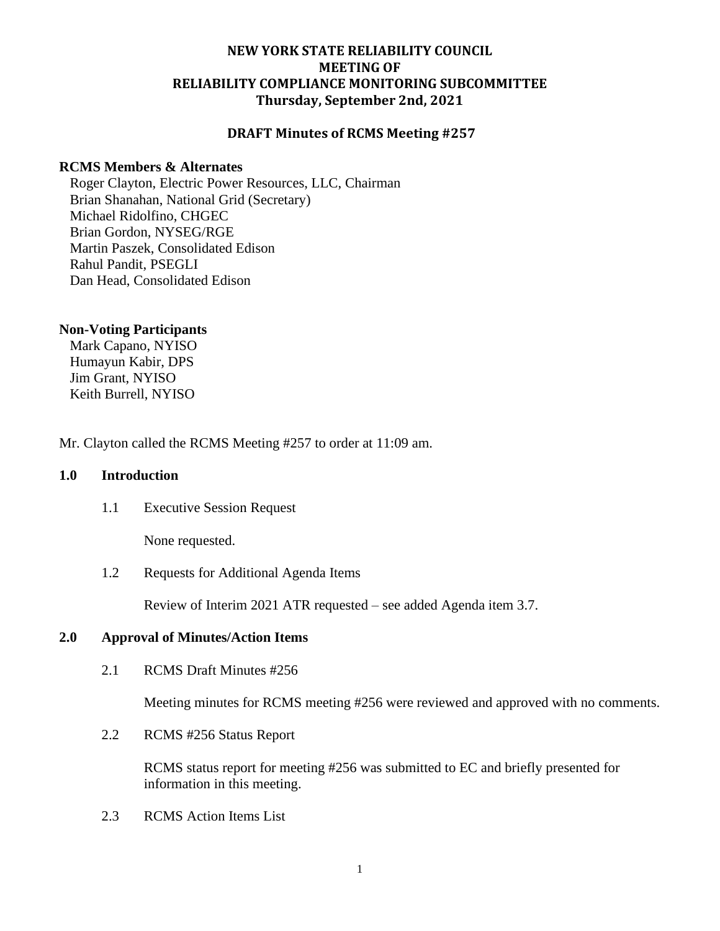## **NEW YORK STATE RELIABILITY COUNCIL MEETING OF RELIABILITY COMPLIANCE MONITORING SUBCOMMITTEE Thursday, September 2nd, 2021**

## **DRAFT Minutes of RCMS Meeting #257**

## **RCMS Members & Alternates**

Roger Clayton, Electric Power Resources, LLC, Chairman Brian Shanahan, National Grid (Secretary) Michael Ridolfino, CHGEC Brian Gordon, NYSEG/RGE Martin Paszek, Consolidated Edison Rahul Pandit, PSEGLI Dan Head, Consolidated Edison

### **Non-Voting Participants**

Mark Capano, NYISO Humayun Kabir, DPS Jim Grant, NYISO Keith Burrell, NYISO

Mr. Clayton called the RCMS Meeting #257 to order at 11:09 am.

## **1.0 Introduction**

1.1 Executive Session Request

None requested.

1.2 Requests for Additional Agenda Items

Review of Interim 2021 ATR requested – see added Agenda item 3.7.

#### **2.0 Approval of Minutes/Action Items**

2.1 RCMS Draft Minutes #256

Meeting minutes for RCMS meeting #256 were reviewed and approved with no comments.

2.2 RCMS #256 Status Report

RCMS status report for meeting #256 was submitted to EC and briefly presented for information in this meeting.

2.3 RCMS Action Items List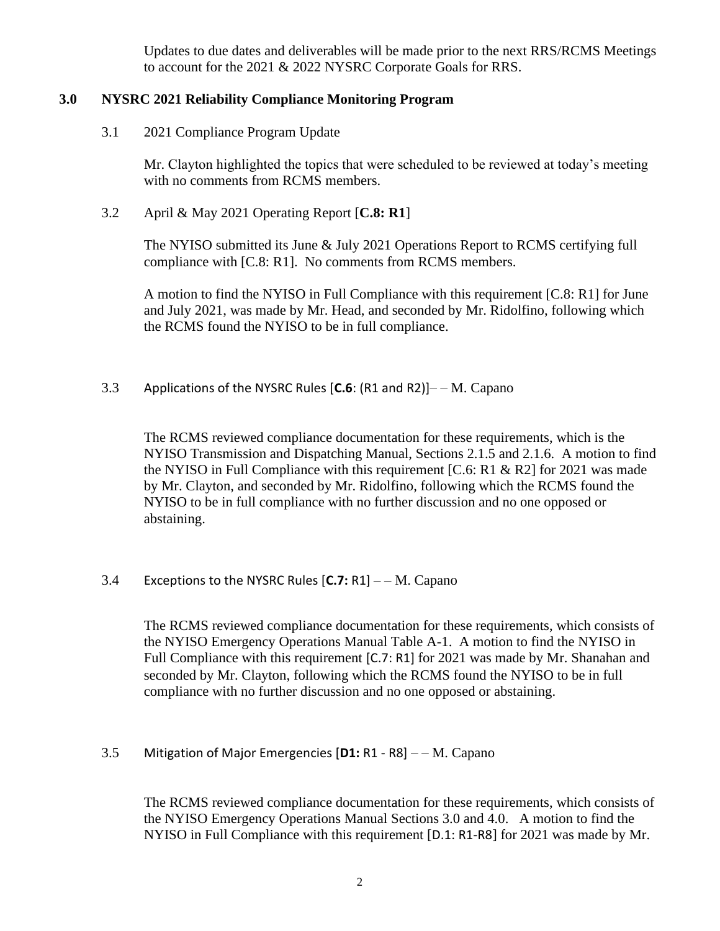Updates to due dates and deliverables will be made prior to the next RRS/RCMS Meetings to account for the 2021 & 2022 NYSRC Corporate Goals for RRS.

## **3.0 NYSRC 2021 Reliability Compliance Monitoring Program**

3.1 2021 Compliance Program Update

Mr. Clayton highlighted the topics that were scheduled to be reviewed at today's meeting with no comments from RCMS members.

3.2 April & May 2021 Operating Report [**C.8: R1**]

The NYISO submitted its June & July 2021 Operations Report to RCMS certifying full compliance with [C.8: R1]. No comments from RCMS members.

A motion to find the NYISO in Full Compliance with this requirement [C.8: R1] for June and July 2021, was made by Mr. Head, and seconded by Mr. Ridolfino, following which the RCMS found the NYISO to be in full compliance.

3.3 Applications of the NYSRC Rules [**C.6**: (R1 and R2)]– – M. Capano

The RCMS reviewed compliance documentation for these requirements, which is the NYISO Transmission and Dispatching Manual, Sections 2.1.5 and 2.1.6. A motion to find the NYISO in Full Compliance with this requirement  $[C.6: R1 \& R2]$  for 2021 was made by Mr. Clayton, and seconded by Mr. Ridolfino, following which the RCMS found the NYISO to be in full compliance with no further discussion and no one opposed or abstaining.

3.4 Exceptions to the NYSRC Rules [**C.7:** R1] – – M. Capano

The RCMS reviewed compliance documentation for these requirements, which consists of the NYISO Emergency Operations Manual Table A-1. A motion to find the NYISO in Full Compliance with this requirement [C.7: R1] for 2021 was made by Mr. Shanahan and seconded by Mr. Clayton, following which the RCMS found the NYISO to be in full compliance with no further discussion and no one opposed or abstaining.

3.5 Mitigation of Major Emergencies [**D1:** R1 - R8] – – M. Capano

The RCMS reviewed compliance documentation for these requirements, which consists of the NYISO Emergency Operations Manual Sections 3.0 and 4.0. A motion to find the NYISO in Full Compliance with this requirement [D.1: R1-R8] for 2021 was made by Mr.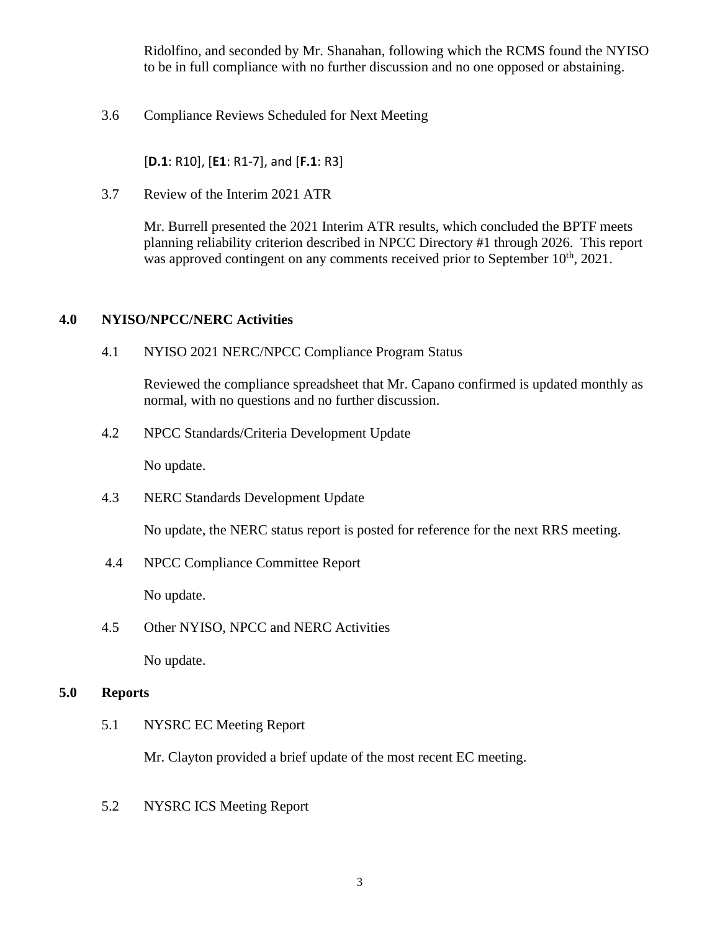Ridolfino, and seconded by Mr. Shanahan, following which the RCMS found the NYISO to be in full compliance with no further discussion and no one opposed or abstaining.

3.6 Compliance Reviews Scheduled for Next Meeting

[**D.1**: R10], [**E1**: R1-7], and [**F.1**: R3]

3.7 Review of the Interim 2021 ATR

Mr. Burrell presented the 2021 Interim ATR results, which concluded the BPTF meets planning reliability criterion described in NPCC Directory #1 through 2026. This report was approved contingent on any comments received prior to September  $10<sup>th</sup>$ , 2021.

## **4.0 NYISO/NPCC/NERC Activities**

4.1 NYISO 2021 NERC/NPCC Compliance Program Status

Reviewed the compliance spreadsheet that Mr. Capano confirmed is updated monthly as normal, with no questions and no further discussion.

4.2 NPCC Standards/Criteria Development Update

No update.

4.3 NERC Standards Development Update

No update, the NERC status report is posted for reference for the next RRS meeting.

4.4 NPCC Compliance Committee Report

No update.

4.5 Other NYISO, NPCC and NERC Activities

No update.

## **5.0 Reports**

5.1 NYSRC EC Meeting Report

Mr. Clayton provided a brief update of the most recent EC meeting.

5.2 NYSRC ICS Meeting Report